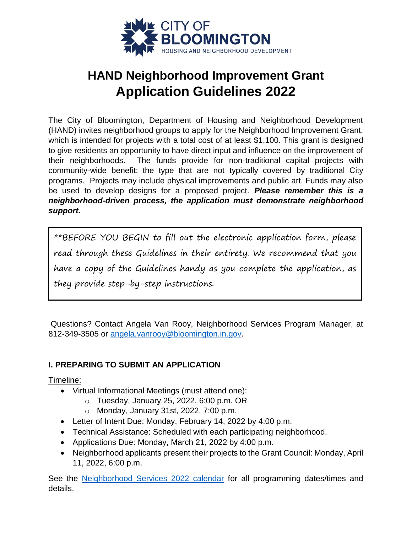

# **HAND Neighborhood Improvement Grant Application Guidelines 2022**

The City of Bloomington, Department of Housing and Neighborhood Development (HAND) invites neighborhood groups to apply for the Neighborhood Improvement Grant, which is intended for projects with a total cost of at least \$1,100. This grant is designed to give residents an opportunity to have direct input and influence on the improvement of their neighborhoods. The funds provide for non-traditional capital projects with community-wide benefit: the type that are not typically covered by traditional City programs. Projects may include physical improvements and public art. Funds may also be used to develop designs for a proposed project. *Please remember this is a neighborhood-driven process, the application must demonstrate neighborhood support.*

\*\*BEFORE YOU BEGIN to fill out the electronic application form, please read through these Guidelines in their entirety. We recommend that you have a copy of the Guidelines handy as you complete the application, as they provide step-by-step instructions.

Questions? Contact Angela Van Rooy, Neighborhood Services Program Manager, at 812-349-3505 or [angela.vanrooy@bloomington.in.gov.](mailto:angela.vanrooy@bloomington.in.gov)

# **I. PREPARING TO SUBMIT AN APPLICATION**

Timeline:

- Virtual Informational Meetings (must attend one):
	- o Tuesday, January 25, 2022, 6:00 p.m. OR
	- o Monday, January 31st, 2022, 7:00 p.m.
- Letter of Intent Due: Monday, February 14, 2022 by 4:00 p.m.
- Technical Assistance: Scheduled with each participating neighborhood.
- Applications Due: Monday, March 21, 2022 by 4:00 p.m.
- Neighborhood applicants present their projects to the Grant Council: Monday, April 11, 2022, 6:00 p.m.

See the [Neighborhood Services 2022 calendar](https://bloomington.in.gov/sites/default/files/2021-12/2022%20Neighborhood%20Services%20Calendar_2.pdf) for all programming dates/times and details.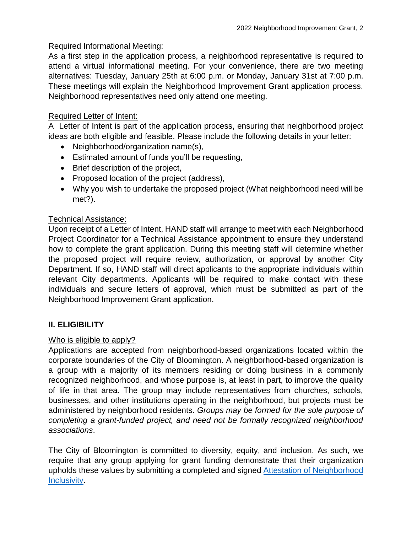# Required Informational Meeting:

As a first step in the application process, a neighborhood representative is required to attend a virtual informational meeting. For your convenience, there are two meeting alternatives: Tuesday, January 25th at 6:00 p.m. or Monday, January 31st at 7:00 p.m. These meetings will explain the Neighborhood Improvement Grant application process. Neighborhood representatives need only attend one meeting.

# Required Letter of Intent:

A Letter of Intent is part of the application process, ensuring that neighborhood project ideas are both eligible and feasible. Please include the following details in your letter:

- Neighborhood/organization name(s),
- Estimated amount of funds you'll be requesting,
- Brief description of the project,
- Proposed location of the project (address),
- Why you wish to undertake the proposed project (What neighborhood need will be met?).

# Technical Assistance:

Upon receipt of a Letter of Intent, HAND staff will arrange to meet with each Neighborhood Project Coordinator for a Technical Assistance appointment to ensure they understand how to complete the grant application. During this meeting staff will determine whether the proposed project will require review, authorization, or approval by another City Department. If so, HAND staff will direct applicants to the appropriate individuals within relevant City departments. Applicants will be required to make contact with these individuals and secure letters of approval, which must be submitted as part of the Neighborhood Improvement Grant application.

# **II. ELIGIBILITY**

# Who is eligible to apply?

Applications are accepted from neighborhood-based organizations located within the corporate boundaries of the City of Bloomington. A neighborhood-based organization is a group with a majority of its members residing or doing business in a commonly recognized neighborhood, and whose purpose is, at least in part, to improve the quality of life in that area. The group may include representatives from churches, schools, businesses, and other institutions operating in the neighborhood, but projects must be administered by neighborhood residents. *Groups may be formed for the sole purpose of completing a grant-funded project, and need not be formally recognized neighborhood associations*.

The City of Bloomington is committed to diversity, equity, and inclusion. As such, we require that any group applying for grant funding demonstrate that their organization upholds these values by submitting a completed and signed [Attestation of Neighborhood](https://bloomington.in.gov/sites/default/files/2022-01/Attestation%20of%20Neighborhood%20Inclusivity_0.pdf)  [Inclusivity.](https://bloomington.in.gov/sites/default/files/2022-01/Attestation%20of%20Neighborhood%20Inclusivity_0.pdf)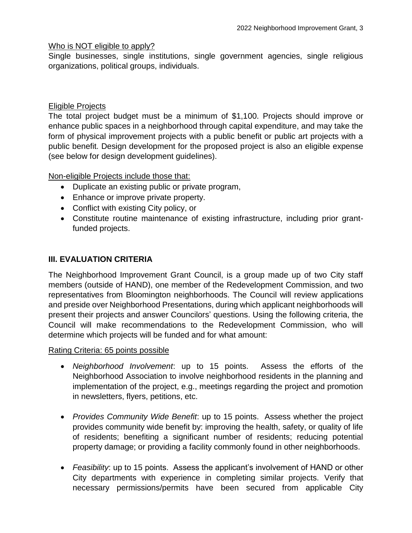#### Who is NOT eligible to apply?

Single businesses, single institutions, single government agencies, single religious organizations, political groups, individuals.

#### Eligible Projects

The total project budget must be a minimum of \$1,100. Projects should improve or enhance public spaces in a neighborhood through capital expenditure, and may take the form of physical improvement projects with a public benefit or public art projects with a public benefit. Design development for the proposed project is also an eligible expense (see below for design development guidelines).

Non-eligible Projects include those that:

- Duplicate an existing public or private program,
- Enhance or improve private property.
- Conflict with existing City policy, or
- Constitute routine maintenance of existing infrastructure, including prior grantfunded projects.

#### **III. EVALUATION CRITERIA**

The Neighborhood Improvement Grant Council, is a group made up of two City staff members (outside of HAND), one member of the Redevelopment Commission, and two representatives from Bloomington neighborhoods. The Council will review applications and preside over Neighborhood Presentations, during which applicant neighborhoods will present their projects and answer Councilors' questions. Using the following criteria, the Council will make recommendations to the Redevelopment Commission, who will determine which projects will be funded and for what amount:

#### Rating Criteria: 65 points possible

- *Neighborhood Involvement*: up to 15 points. Assess the efforts of the Neighborhood Association to involve neighborhood residents in the planning and implementation of the project, e.g., meetings regarding the project and promotion in newsletters, flyers, petitions, etc.
- *Provides Community Wide Benefit*: up to 15 points. Assess whether the project provides community wide benefit by: improving the health, safety, or quality of life of residents; benefiting a significant number of residents; reducing potential property damage; or providing a facility commonly found in other neighborhoods.
- *Feasibility*: up to 15 points. Assess the applicant's involvement of HAND or other City departments with experience in completing similar projects. Verify that necessary permissions/permits have been secured from applicable City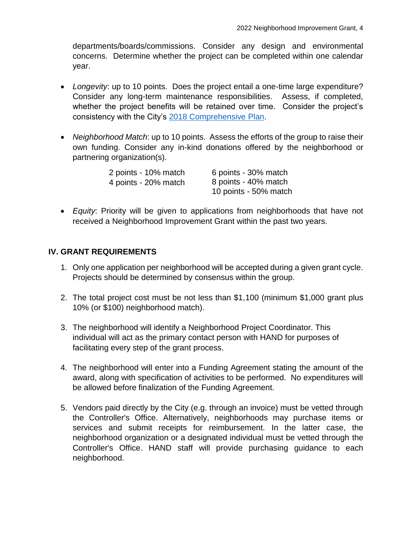departments/boards/commissions. Consider any design and environmental concerns. Determine whether the project can be completed within one calendar year.

- *Longevity*: up to 10 points. Does the project entail a one-time large expenditure? Consider any long-term maintenance responsibilities. Assess, if completed, whether the project benefits will be retained over time. Consider the project's consistency with the City's [2018 Comprehensive](https://bloomington.in.gov/sites/default/files/2022-01/Comprehensive%20Plan%202018.pdf) Plan.
- *Neighborhood Match*: up to 10 points. Assess the efforts of the group to raise their own funding. Consider any in-kind donations offered by the neighborhood or partnering organization(s).

| 2 points - 10% match | 6 points - 30% match  |
|----------------------|-----------------------|
| 4 points - 20% match | 8 points - 40% match  |
|                      | 10 points - 50% match |

 *Equity*: Priority will be given to applications from neighborhoods that have not received a Neighborhood Improvement Grant within the past two years.

# **IV. GRANT REQUIREMENTS**

- 1. Only one application per neighborhood will be accepted during a given grant cycle. Projects should be determined by consensus within the group.
- 2. The total project cost must be not less than \$1,100 (minimum \$1,000 grant plus 10% (or \$100) neighborhood match).
- 3. The neighborhood will identify a Neighborhood Project Coordinator. This individual will act as the primary contact person with HAND for purposes of facilitating every step of the grant process.
- 4. The neighborhood will enter into a Funding Agreement stating the amount of the award, along with specification of activities to be performed. No expenditures will be allowed before finalization of the Funding Agreement.
- 5. Vendors paid directly by the City (e.g. through an invoice) must be vetted through the Controller's Office. Alternatively, neighborhoods may purchase items or services and submit receipts for reimbursement. In the latter case, the neighborhood organization or a designated individual must be vetted through the Controller's Office. HAND staff will provide purchasing guidance to each neighborhood.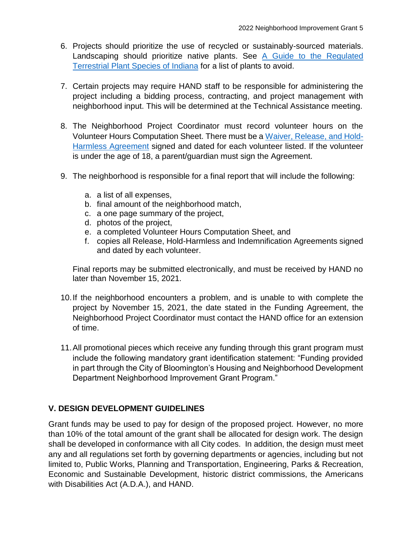- 6. Projects should prioritize the use of recycled or sustainably-sourced materials. Landscaping should prioritize native plants. See [A Guide to the Regulated](https://static1.squarespace.com/static/559d59d6e4b03b77d9cd5e00/t/5e9db9d9859224624f90dbf3/1587395051195/A+Guide+to+the+Regulated+Terrestrial+Invasive+Plant+Species+of+Indiana+web.pdf)  [Terrestrial Plant Species of Indiana](https://static1.squarespace.com/static/559d59d6e4b03b77d9cd5e00/t/5e9db9d9859224624f90dbf3/1587395051195/A+Guide+to+the+Regulated+Terrestrial+Invasive+Plant+Species+of+Indiana+web.pdf) for a list of plants to avoid.
- 7. Certain projects may require HAND staff to be responsible for administering the project including a bidding process, contracting, and project management with neighborhood input. This will be determined at the Technical Assistance meeting.
- 8. The Neighborhood Project Coordinator must record volunteer hours on the Volunteer Hours Computation Sheet. There must be a [Waiver, Release,](https://bloomington.in.gov/sites/default/files/2021-12/2022%20Volunteer%20Release%20and%20Hold%20Harmless%20Form%2C%20fillable_0.pdf) and Hold-[Harmless Agreement](https://bloomington.in.gov/sites/default/files/2021-12/2022%20Volunteer%20Release%20and%20Hold%20Harmless%20Form%2C%20fillable_0.pdf) signed and dated for each volunteer listed. If the volunteer is under the age of 18, a parent/guardian must sign the Agreement.
- 9. The neighborhood is responsible for a final report that will include the following:
	- a. a list of all expenses,
	- b. final amount of the neighborhood match,
	- c. a one page summary of the project,
	- d. photos of the project,
	- e. a completed Volunteer Hours Computation Sheet, and
	- f. copies all Release, Hold-Harmless and Indemnification Agreements signed and dated by each volunteer.

Final reports may be submitted electronically, and must be received by HAND no later than November 15, 2021.

- 10.If the neighborhood encounters a problem, and is unable to with complete the project by November 15, 2021, the date stated in the Funding Agreement, the Neighborhood Project Coordinator must contact the HAND office for an extension of time.
- 11.All promotional pieces which receive any funding through this grant program must include the following mandatory grant identification statement: "Funding provided in part through the City of Bloomington's Housing and Neighborhood Development Department Neighborhood Improvement Grant Program."

# **V. DESIGN DEVELOPMENT GUIDELINES**

Grant funds may be used to pay for design of the proposed project. However, no more than 10% of the total amount of the grant shall be allocated for design work. The design shall be developed in conformance with all City codes. In addition, the design must meet any and all regulations set forth by governing departments or agencies, including but not limited to, Public Works, Planning and Transportation, Engineering, Parks & Recreation, Economic and Sustainable Development, historic district commissions, the Americans with Disabilities Act (A.D.A.), and HAND.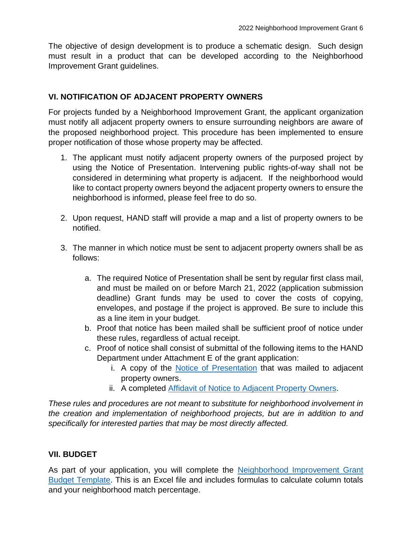The objective of design development is to produce a schematic design. Such design must result in a product that can be developed according to the Neighborhood Improvement Grant guidelines.

# **VI. NOTIFICATION OF ADJACENT PROPERTY OWNERS**

For projects funded by a Neighborhood Improvement Grant, the applicant organization must notify all adjacent property owners to ensure surrounding neighbors are aware of the proposed neighborhood project. This procedure has been implemented to ensure proper notification of those whose property may be affected.

- 1. The applicant must notify adjacent property owners of the purposed project by using the Notice of Presentation. Intervening public rights-of-way shall not be considered in determining what property is adjacent. If the neighborhood would like to contact property owners beyond the adjacent property owners to ensure the neighborhood is informed, please feel free to do so.
- 2. Upon request, HAND staff will provide a map and a list of property owners to be notified.
- 3. The manner in which notice must be sent to adjacent property owners shall be as follows:
	- a. The required Notice of Presentation shall be sent by regular first class mail, and must be mailed on or before March 21, 2022 (application submission deadline) Grant funds may be used to cover the costs of copying, envelopes, and postage if the project is approved. Be sure to include this as a line item in your budget.
	- b. Proof that notice has been mailed shall be sufficient proof of notice under these rules, regardless of actual receipt.
	- c. Proof of notice shall consist of submittal of the following items to the HAND Department under Attachment E of the grant application:
		- i. A copy of the [Notice of Presentation](https://bloomington.in.gov/sites/default/files/2022-01/2022%20Notice%20of%20Presentation%2C%20fillable.pdf) that was mailed to adjacent property owners.
		- ii. A completed **Affidavit of Notice to Adjacent Property Owners**.

*These rules and procedures are not meant to substitute for neighborhood involvement in the creation and implementation of neighborhood projects, but are in addition to and specifically for interested parties that may be most directly affected.*

# **VII. BUDGET**

As part of your application, you will complete the Neighborhood Improvement Grant [Budget Template.](https://bloomington.in.gov/sites/default/files/2022-01/FINAL%20Neighborhood%20Improvement%20Grant%20Budget%20Template.xls) This is an Excel file and includes formulas to calculate column totals and your neighborhood match percentage.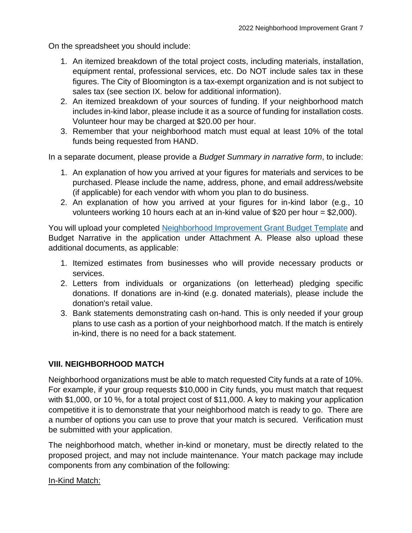On the spreadsheet you should include:

- 1. An itemized breakdown of the total project costs, including materials, installation, equipment rental, professional services, etc. Do NOT include sales tax in these figures. The City of Bloomington is a tax-exempt organization and is not subject to sales tax (see section IX. below for additional information).
- 2. An itemized breakdown of your sources of funding. If your neighborhood match includes in-kind labor, please include it as a source of funding for installation costs. Volunteer hour may be charged at \$20.00 per hour.
- 3. Remember that your neighborhood match must equal at least 10% of the total funds being requested from HAND.

In a separate document, please provide a *Budget Summary in narrative form*, to include:

- 1. An explanation of how you arrived at your figures for materials and services to be purchased. Please include the name, address, phone, and email address/website (if applicable) for each vendor with whom you plan to do business.
- 2. An explanation of how you arrived at your figures for in-kind labor (e.g., 10 volunteers working 10 hours each at an in-kind value of \$20 per hour = \$2,000).

You will upload your completed [Neighborhood Improvement Grant Budget Template](https://bloomington.in.gov/sites/default/files/2022-01/FINAL%20Neighborhood%20Improvement%20Grant%20Budget%20Template.xls) and Budget Narrative in the application under Attachment A. Please also upload these additional documents, as applicable:

- 1. Itemized estimates from businesses who will provide necessary products or services.
- 2. Letters from individuals or organizations (on letterhead) pledging specific donations. If donations are in-kind (e.g. donated materials), please include the donation's retail value.
- 3. Bank statements demonstrating cash on-hand. This is only needed if your group plans to use cash as a portion of your neighborhood match. If the match is entirely in-kind, there is no need for a back statement.

# **VIII. NEIGHBORHOOD MATCH**

Neighborhood organizations must be able to match requested City funds at a rate of 10%. For example, if your group requests \$10,000 in City funds, you must match that request with \$1,000, or 10 %, for a total project cost of \$11,000. A key to making your application competitive it is to demonstrate that your neighborhood match is ready to go. There are a number of options you can use to prove that your match is secured. Verification must be submitted with your application.

The neighborhood match, whether in-kind or monetary, must be directly related to the proposed project, and may not include maintenance. Your match package may include components from any combination of the following:

# In-Kind Match: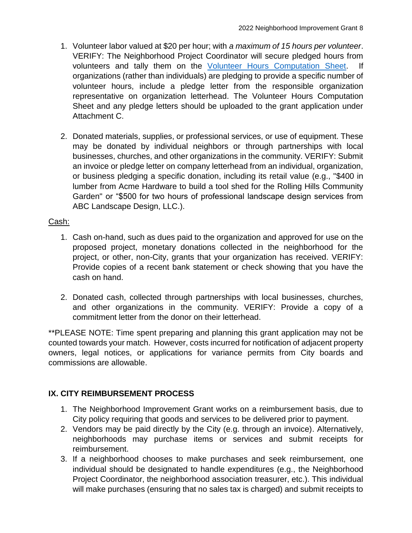- 1. Volunteer labor valued at \$20 per hour; with *a maximum of 15 hours per volunteer*. VERIFY: The Neighborhood Project Coordinator will secure pledged hours from volunteers and tally them on the [Volunteer Hours Computation Sheet.](https://bloomington.in.gov/sites/default/files/2021-12/2022%20Volunteer%20Hours%20Computation%20Sheet%2C%20fillable_0.pdf) organizations (rather than individuals) are pledging to provide a specific number of volunteer hours, include a pledge letter from the responsible organization representative on organization letterhead. The Volunteer Hours Computation Sheet and any pledge letters should be uploaded to the grant application under Attachment C.
- 2. Donated materials, supplies, or professional services, or use of equipment. These may be donated by individual neighbors or through partnerships with local businesses, churches, and other organizations in the community. VERIFY: Submit an invoice or pledge letter on company letterhead from an individual, organization, or business pledging a specific donation, including its retail value (e.g., "\$400 in lumber from Acme Hardware to build a tool shed for the Rolling Hills Community Garden" or "\$500 for two hours of professional landscape design services from ABC Landscape Design, LLC.).

# Cash:

- 1. Cash on-hand, such as dues paid to the organization and approved for use on the proposed project, monetary donations collected in the neighborhood for the project, or other, non-City, grants that your organization has received. VERIFY: Provide copies of a recent bank statement or check showing that you have the cash on hand.
- 2. Donated cash, collected through partnerships with local businesses, churches, and other organizations in the community. VERIFY: Provide a copy of a commitment letter from the donor on their letterhead.

\*\*PLEASE NOTE: Time spent preparing and planning this grant application may not be counted towards your match. However, costs incurred for notification of adjacent property owners, legal notices, or applications for variance permits from City boards and commissions are allowable.

# **IX. CITY REIMBURSEMENT PROCESS**

- 1. The Neighborhood Improvement Grant works on a reimbursement basis, due to City policy requiring that goods and services to be delivered prior to payment.
- 2. Vendors may be paid directly by the City (e.g. through an invoice). Alternatively, neighborhoods may purchase items or services and submit receipts for reimbursement.
- 3. If a neighborhood chooses to make purchases and seek reimbursement, one individual should be designated to handle expenditures (e.g., the Neighborhood Project Coordinator, the neighborhood association treasurer, etc.). This individual will make purchases (ensuring that no sales tax is charged) and submit receipts to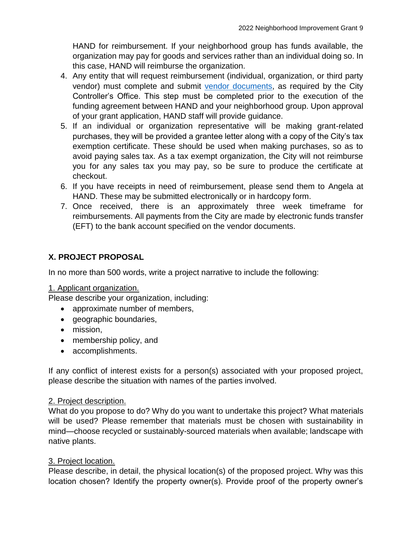HAND for reimbursement. If your neighborhood group has funds available, the organization may pay for goods and services rather than an individual doing so. In this case, HAND will reimburse the organization.

- 4. Any entity that will request reimbursement (individual, organization, or third party vendor) must complete and submit [vendor documents,](https://bloomington.in.gov/sites/default/files/2021-12/2022%20Vendor%20Forms%20-%20Fillable.pdf) as required by the City Controller's Office. This step must be completed prior to the execution of the funding agreement between HAND and your neighborhood group. Upon approval of your grant application, HAND staff will provide guidance.
- 5. If an individual or organization representative will be making grant-related purchases, they will be provided a grantee letter along with a copy of the City's tax exemption certificate. These should be used when making purchases, so as to avoid paying sales tax. As a tax exempt organization, the City will not reimburse you for any sales tax you may pay, so be sure to produce the certificate at checkout.
- 6. If you have receipts in need of reimbursement, please send them to Angela at HAND. These may be submitted electronically or in hardcopy form.
- 7. Once received, there is an approximately three week timeframe for reimbursements. All payments from the City are made by electronic funds transfer (EFT) to the bank account specified on the vendor documents.

# **X. PROJECT PROPOSAL**

In no more than 500 words, write a project narrative to include the following:

#### 1. Applicant organization.

Please describe your organization, including:

- approximate number of members,
- geographic boundaries,
- mission,
- membership policy, and
- accomplishments.

If any conflict of interest exists for a person(s) associated with your proposed project, please describe the situation with names of the parties involved.

#### 2. Project description.

What do you propose to do? Why do you want to undertake this project? What materials will be used? Please remember that materials must be chosen with sustainability in mind—choose recycled or sustainably-sourced materials when available; landscape with native plants.

#### 3. Project location.

Please describe, in detail, the physical location(s) of the proposed project. Why was this location chosen? Identify the property owner(s). Provide proof of the property owner's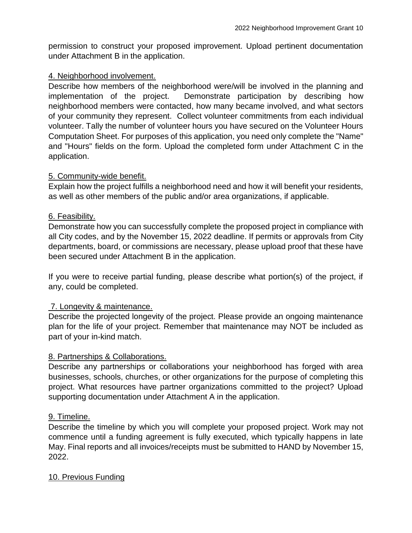permission to construct your proposed improvement. Upload pertinent documentation under Attachment B in the application.

#### 4. Neighborhood involvement.

Describe how members of the neighborhood were/will be involved in the planning and implementation of the project. Demonstrate participation by describing how neighborhood members were contacted, how many became involved, and what sectors of your community they represent. Collect volunteer commitments from each individual volunteer. Tally the number of volunteer hours you have secured on the Volunteer Hours Computation Sheet. For purposes of this application, you need only complete the "Name" and "Hours" fields on the form. Upload the completed form under Attachment C in the application.

#### 5. Community-wide benefit.

Explain how the project fulfills a neighborhood need and how it will benefit your residents, as well as other members of the public and/or area organizations, if applicable.

#### 6. Feasibility.

Demonstrate how you can successfully complete the proposed project in compliance with all City codes, and by the November 15, 2022 deadline. If permits or approvals from City departments, board, or commissions are necessary, please upload proof that these have been secured under Attachment B in the application.

If you were to receive partial funding, please describe what portion(s) of the project, if any, could be completed.

# 7. Longevity & maintenance.

Describe the projected longevity of the project. Please provide an ongoing maintenance plan for the life of your project. Remember that maintenance may NOT be included as part of your in-kind match.

#### 8. Partnerships & Collaborations.

Describe any partnerships or collaborations your neighborhood has forged with area businesses, schools, churches, or other organizations for the purpose of completing this project. What resources have partner organizations committed to the project? Upload supporting documentation under Attachment A in the application.

#### 9. Timeline.

Describe the timeline by which you will complete your proposed project. Work may not commence until a funding agreement is fully executed, which typically happens in late May. Final reports and all invoices/receipts must be submitted to HAND by November 15, 2022.

#### 10. Previous Funding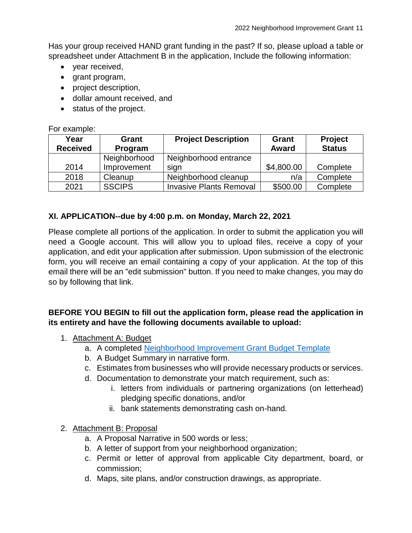Has your group received HAND grant funding in the past? If so, please upload a table or spreadsheet under Attachment B in the application, Include the following information:

- year received,
- grant program,
- project description,
- dollar amount received, and
- status of the project.

#### For example:

| Year<br><b>Received</b> | Grant<br>Program | <b>Project Description</b>     | Grant<br><b>Award</b> | <b>Project</b><br><b>Status</b> |
|-------------------------|------------------|--------------------------------|-----------------------|---------------------------------|
|                         | Neighborhood     | Neighborhood entrance          |                       |                                 |
| 2014                    | Improvement      | sign                           | \$4,800.00            | Complete                        |
| 2018                    | Cleanup          | Neighborhood cleanup           | n/a                   | Complete                        |
| 2021                    | <b>SSCIPS</b>    | <b>Invasive Plants Removal</b> | \$500.00              | Complete                        |

# **XI. APPLICATION--due by 4:00 p.m. on Monday, March 22, 2021**

Please complete all portions of the application. In order to submit the application you will need a Google account. This will allow you to upload files, receive a copy of your application, and edit your application after submission. Upon submission of the electronic form, you will receive an email containing a copy of your application. At the top of this email there will be an "edit submission" button. If you need to make changes, you may do so by following that link.

# **BEFORE YOU BEGIN to fill out the application form, please read the application in its entirety and have the following documents available to upload:**

- 1. Attachment A: Budget
	- a. A completed [Neighborhood Improvement Grant Budget Template](https://bloomington.in.gov/sites/default/files/2022-01/FINAL%20Neighborhood%20Improvement%20Grant%20Budget%20Template.xls)
	- b. A Budget Summary in narrative form.
	- c. Estimates from businesses who will provide necessary products or services.
	- d. Documentation to demonstrate your match requirement, such as:
		- i. letters from individuals or partnering organizations (on letterhead) pledging specific donations, and/or
		- ii. bank statements demonstrating cash on-hand.
- 2. Attachment B: Proposal
	- a. A Proposal Narrative in 500 words or less;
	- b. A letter of support from your neighborhood organization;
	- c. Permit or letter of approval from applicable City department, board, or commission;
	- d. Maps, site plans, and/or construction drawings, as appropriate.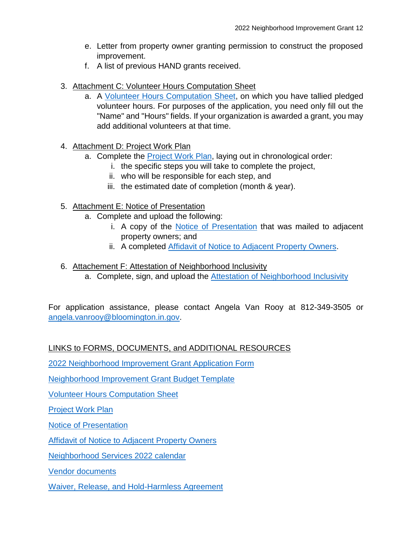- e. Letter from property owner granting permission to construct the proposed improvement.
- f. A list of previous HAND grants received.
- 3. Attachment C: Volunteer Hours Computation Sheet
	- a. A [Volunteer Hours Computation Sheet,](https://bloomington.in.gov/sites/default/files/2021-12/2022%20Volunteer%20Hours%20Computation%20Sheet%2C%20fillable_0.pdf) on which you have tallied pledged volunteer hours. For purposes of the application, you need only fill out the "Name" and "Hours" fields. If your organization is awarded a grant, you may add additional volunteers at that time.
- 4. Attachment D: Project Work Plan
	- a. Complete the **Project Work Plan**, laying out in chronological order:
		- i. the specific steps you will take to complete the project,
		- ii. who will be responsible for each step, and
		- iii. the estimated date of completion (month & year).
- 5. Attachment E: Notice of Presentation
	- a. Complete and upload the following:
		- i. A copy of the [Notice of Presentation](https://bloomington.in.gov/sites/default/files/2022-01/2022%20Notice%20of%20Presentation%2C%20fillable.pdf) that was mailed to adjacent property owners; and
		- ii. A completed [Affidavit of Notice to Adjacent Property Owners.](https://bloomington.in.gov/sites/default/files/2022-01/2022%20Affidavit%20of%20Notice%2C%20fillable.pdf)
- 6. Attachement F: Attestation of Neighborhood Inclusivity
	- a. Complete, sign, and upload the [Attestation of Neighborhood Inclusivity](https://bloomington.in.gov/sites/default/files/2022-01/Attestation%20of%20Neighborhood%20Inclusivity_0.pdf)

For application assistance, please contact Angela Van Rooy at 812-349-3505 or [angela.vanrooy@bloomington.in.gov.](mailto:angela.vanrooy@bloomington.in.gov)

# LINKS to FORMS, DOCUMENTS, and ADDITIONAL RESOURCES

[2022 Neighborhood Improvement Grant Application Form](https://forms.gle/zWtTCtF5QkTcdCZP9)

[Neighborhood Improvement Grant Budget Template](https://bloomington.in.gov/sites/default/files/2022-01/FINAL%20Neighborhood%20Improvement%20Grant%20Budget%20Template.xls)

[Volunteer Hours Computation Sheet](https://bloomington.in.gov/sites/default/files/2021-12/2022%20Volunteer%20Hours%20Computation%20Sheet%2C%20fillable_0.pdf)

[Project Work Plan](https://bloomington.in.gov/sites/default/files/2021-12/Project%20Work%20Plan%2C%20fillable.pdf)

Notice [of Presentation](https://bloomington.in.gov/sites/default/files/2022-01/2022%20Notice%20of%20Presentation%2C%20fillable.pdf)

[Affidavit of Notice to Adjacent Property Owners](https://bloomington.in.gov/sites/default/files/2022-01/2022%20Affidavit%20of%20Notice%2C%20fillable.pdf)

[Neighborhood Services 2022 calendar](https://bloomington.in.gov/sites/default/files/2021-12/2022%20Neighborhood%20Services%20Calendar_2.pdf)

[Vendor documents](https://bloomington.in.gov/sites/default/files/2021-12/2022%20Vendor%20Forms%20-%20Fillable.pdf)

[Waiver, Release, and Hold-Harmless Agreement](https://bloomington.in.gov/sites/default/files/2021-12/2022%20Volunteer%20Release%20and%20Hold%20Harmless%20Form%2C%20fillable_0.pdf)